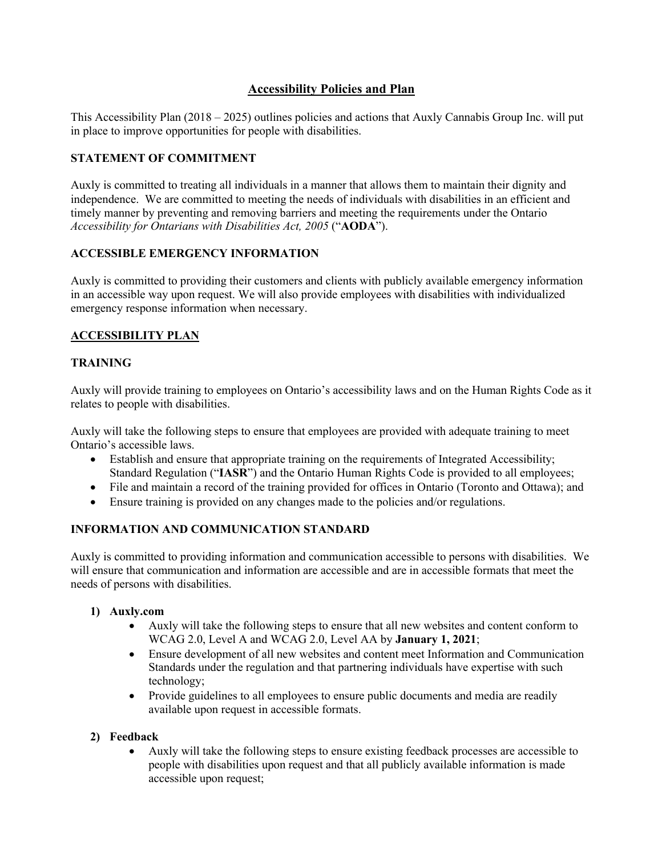# **Accessibility Policies and Plan**

This Accessibility Plan (2018 – 2025) outlines policies and actions that Auxly Cannabis Group Inc. will put in place to improve opportunities for people with disabilities.

### **STATEMENT OF COMMITMENT**

Auxly is committed to treating all individuals in a manner that allows them to maintain their dignity and independence. We are committed to meeting the needs of individuals with disabilities in an efficient and timely manner by preventing and removing barriers and meeting the requirements under the Ontario *Accessibility for Ontarians with Disabilities Act, 2005* ("**AODA**").

#### **ACCESSIBLE EMERGENCY INFORMATION**

Auxly is committed to providing their customers and clients with publicly available emergency information in an accessible way upon request. We will also provide employees with disabilities with individualized emergency response information when necessary.

### **ACCESSIBILITY PLAN**

#### **TRAINING**

Auxly will provide training to employees on Ontario's accessibility laws and on the Human Rights Code as it relates to people with disabilities.

Auxly will take the following steps to ensure that employees are provided with adequate training to meet Ontario's accessible laws.

- Establish and ensure that appropriate training on the requirements of Integrated Accessibility; Standard Regulation ("**IASR**") and the Ontario Human Rights Code is provided to all employees;
- File and maintain a record of the training provided for offices in Ontario (Toronto and Ottawa); and
- Ensure training is provided on any changes made to the policies and/or regulations.

#### **INFORMATION AND COMMUNICATION STANDARD**

Auxly is committed to providing information and communication accessible to persons with disabilities. We will ensure that communication and information are accessible and are in accessible formats that meet the needs of persons with disabilities.

#### **1) Auxly.com**

- Auxly will take the following steps to ensure that all new websites and content conform to WCAG 2.0, Level A and WCAG 2.0, Level AA by **January 1, 2021**;
- Ensure development of all new websites and content meet Information and Communication Standards under the regulation and that partnering individuals have expertise with such technology;
- Provide guidelines to all employees to ensure public documents and media are readily available upon request in accessible formats.

#### **2) Feedback**

• Auxly will take the following steps to ensure existing feedback processes are accessible to people with disabilities upon request and that all publicly available information is made accessible upon request;